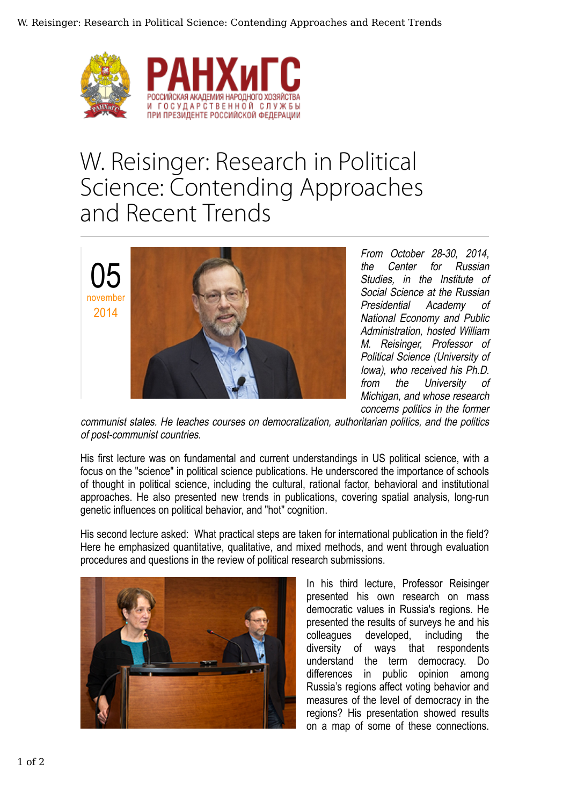

## W. Reisinger: Research in Political Science: Contending Approaches and Recent Trends



From October 28-30, 2014, the Center for Russian Studies, in the Institute of Social Science at the Russian Presidential Academy of National Economy and Public Administration, hosted William M. Reisinger, Professor of Political Science (University of Iowa), who received his Ph.D. from the University of Michigan, and whose research concerns politics in the former

communist states. He teaches courses on democratization, authoritarian politics, and the politics of post-communist countries.

His first lecture was on fundamental and current understandings in US political science, with a focus on the "science" in political science publications. He underscored the importance of schools of thought in political science, including the cultural, rational factor, behavioral and institutional approaches. He also presented new trends in publications, covering spatial analysis, long-run genetic influences on political behavior, and "hot" cognition.

His second lecture asked: What practical steps are taken for international publication in the field? Here he emphasized quantitative, qualitative, and mixed methods, and went through evaluation procedures and questions in the review of political research submissions.



In his third lecture, Professor Reisinger presented his own research on mass democratic values in Russia's regions. He presented the results of surveys he and his colleagues developed, including the diversity of ways that respondents understand the term democracy. Do differences in public opinion among Russia's regions affect voting behavior and measures of the level of democracy in the regions? His presentation showed results on a map of some of these connections.